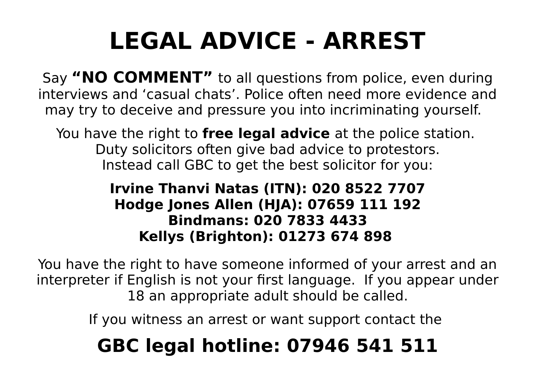## **LEGAL ADVICE - ARREST**

Say **"NO COMMENT"** to all questions from police, even during interviews and 'casual chats'. Police often need more evidence and may try to deceive and pressure you into incriminating yourself.

You have the right to **free legal advice** at the police station. Duty solicitors often give bad advice to protestors. Instead call GBC to get the best solicitor for you:

#### **Irvine Thanvi Natas (ITN): 020 8522 7707 Hodge Jones Allen (HJA): 07659 111 192 Bindmans: 020 7833 4433 Kellys (Brighton): 01273 674 898**

You have the right to have someone informed of your arrest and an interpreter if English is not your first language. If you appear under 18 an appropriate adult should be called.

If you witness an arrest or want support contact the

### **GBC legal hotline: 07946 541 511**